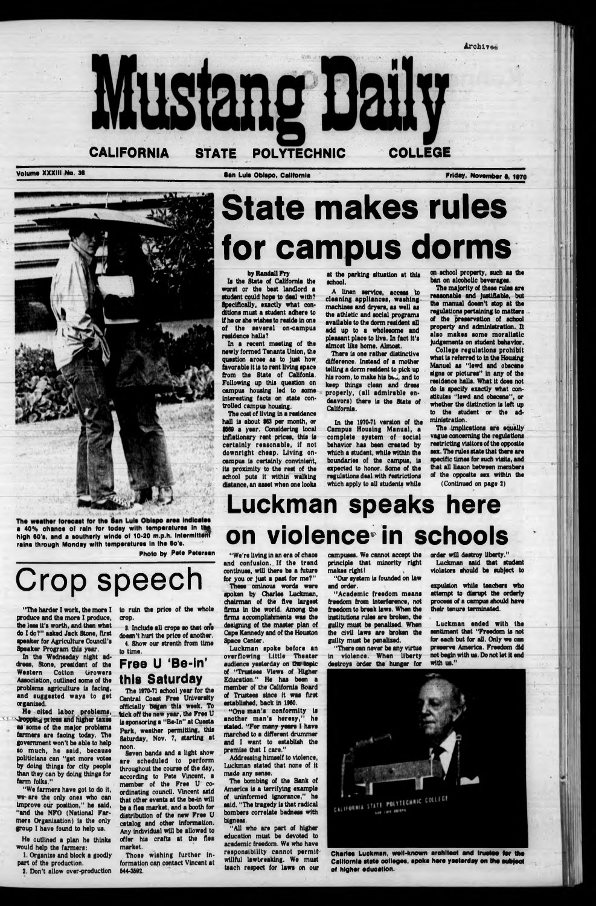



# State makes rules for campus dorms

the less it's worth, and then what do I do?" asked Jack Stone, first speaker for Agriculture Council's Speaker Program this year.

In the Wednesday night ad dress, Stone, president of the Western Cotton Urowers Association, outlined some of the problems agriculture is facing. and suggested ways to get organised.

He cited labor problems, stopping prices and higher taxes as some of the major problems farmers are facing today. The government won't be able to help so much, he said, because politicians can "get more votes by doing things for city people than they can by doing things for farm folks."

In a recent meeting of the newly formed Tenants Union, the question arose as to just how favorable It Is to rent living space from the State of Califonla. Following up this question on campus housing led to some Interesting facts on state controlled campus housing.

The cost of living in a residence hall is about \$63 per month, or 8669 a year. Considering local inflationary rent prices, this is certainly reasonable, if not downright cheap. Living oncampus is certainly convinient, its proximity to the rest of the school puts it within walking distance, an asset when one looks

"Wo farmers have got to do It, we are the only ones who can Improve our position," he said, "and the NFO (National Farmers Organisation) Is the only group I have found to help us.

He outlined a plan he thinks would help the farmers:

1. Organise and block a goodly part of the production.

2. Don't allow over-production

#### by Randall Fry

Is the State of California the worst or the best landlord a student could hope to deal with? Specifically, exactly what conditions must a student adhere to if he or she wishes to reside in one of the several on-campus residence halls?

on school property, such as the ban on alcoholic beverages.

## uckman speaks here on violence in schools

at the parking situation at this school.

"The herder I work, the more I to ruin the price of the whole

produce and the more I produce, crop.

A linen service, access to cleaning appliances, washingmachines and dryers, as well as the athletic and social programs available to the dorm resident all add up to a wholesome and pleasant place to live. In fact it's almost like home. Almost.

There is one rather distinctive difference. Instead of a mother telling a dorm resident to pick up his room, to make his beu, and to keep things clean and dress properly, (all admirable endeavors) there is the State of California.

In the 1970-71 version of the Campus Housing Manual, a complete system of social behavior has been crested by which a student, while within the boundaries of the campus, is expected to honor. Some of the regulations deal with restrictions which apply to all students while

The majority of these rules are reasonable and Justifiable, but the manual doesn't stop at the regulations pertaining to matters of the preservation of school property and administration. It also makes some moralistic Judgements on student behavior,

spoken by Charles Luckman, chairman of the five largest firms In the world. Among the firms accomplishments was the designing of the master plan of Cape Kennedy and of the Houston Space Center. Luckman spoke before an overflowing Little Theater audience yesterday on the topic of "Trustees Views of Higher Education." He has been a member of the California Board of Trustees since it was first established, back In I960. "One man's conformity is<br>nother man's heresy," he another man's heresy," stated. "For many years I have marched to a different drummer and I want to establish the premise that I care." Addressing himself to violence, Luckman stated that none of it made any sense. The bombing of the Bank of America is a terrifying example of uninformed Ignorance," he said. "The tragedy Is that radical bombers correlate badness with bigness. "All who are part of higher education must be devoted to academic freedom. We who have responsibility cannot permitwillful lawbreaking. We must teach respect for laws on our

College regulations prohibit what is referred to in the Housing Manuel as "lewd and obscene signs or pictures" In any of the residence halls. What it does not do Is specify exactly what constitutes 'lewd and obscene", or whether the distinction is left up to the student or the administration.

The Implications are equally vague concerning the regulations restricting visitors of the opposite sex. The rules state that there are specific times for such visits, and that all liason between members of the opposite sex within the (Continued on page 2)

**The weether foreeaet for the Sen Lule Obispo eree Indicates e 40% chance of rain for today with temperatures in the high 60'e, end e southerly wlnde of 10-20 m.p.h. Intermlttem relne through Mondey with tempereturee In the 6o'e.**

**Photo by Fete Petersen**

# Crop speech

3. Include all crops so that one doesn't hurt the price of another. 4. Show our strenth from time to time.

### **Free U 'Be-In' this Saturday**

The 1970-71 school year for the Central Coast Free University officially began this week. To tick off the new year, the Free U is sponsoring a "Be-In" at Cuesta Park, weather permitting, this Saturday, Nov. 7, starting at noon.

Seven bands and a light show are scheduled to perform throughout the course of the day, according to Pete Vincent, a member of the Free U coordinating council. Vincent said that other events at the be-in will be a flea market, and a booth for distribution of the new Free U catalog and other Information. Any Individual will be allowed to offer his crafts at the flea market.

Those wishing further information can contact Vincent at 644-3692.

"We're living In an era of chaos and confusion. If the trend continues, will there be a future for you or Just a past for me?" These ominous words were campuses. We cannot accept the principle that minority right makes right I

"Our system Is founded on law and order.

" Academic freedom means freedom from Interference, not freedom to break laws. When the Institutions rules are broken, the

guilty must be penalised. When the dvll laws are broken the guilty must be penalised.

"There can never be any virtue In violence. When liberty destroys order the hunger for order will destroy liberty." Luckman said that student violators should be subject to

expulsion while teachers who attempt to disrupt the orderly process of a campus should have their tenure terminated.

Luckman ended with the sentiment that "Freedom Is not for each but for all. Only we can preserve America. Freedom did not begin with us. Do not let It end with us."



**Charles Luckman, well-known architect and trustee tor the California state collapse, spoke here yesterday on the eubjeot of higher education.**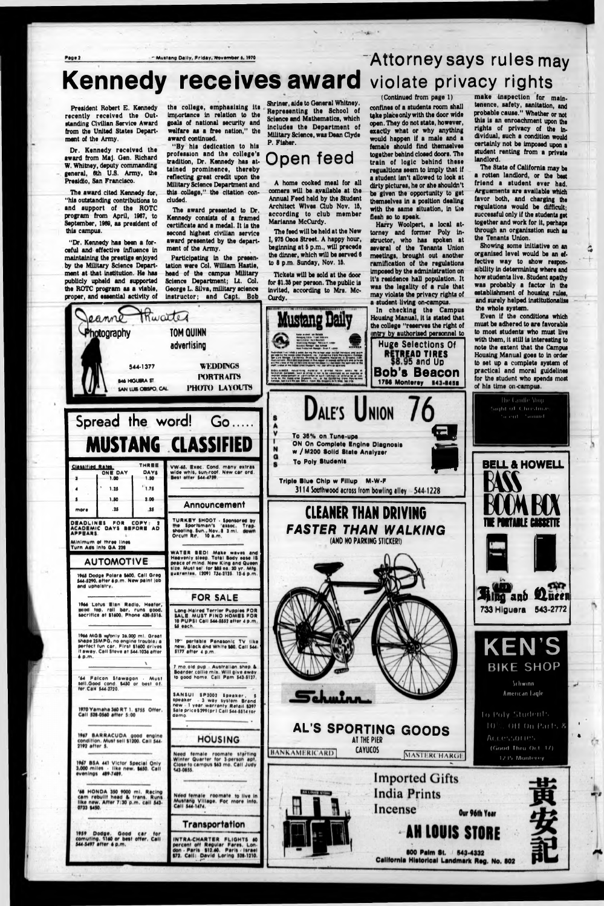Page 2

- Mustang Dally, Friday, November 6, 1970

## **Kennedy receives award violate privacy rights**

President Robert E. Kennedy recently received the Outstanding Civilian Service Award from the United States Department of the Army.

Dr. Kennedy received the award from Maj. Gen. Richard W. Whitney, deputy commanding general, 6th U.S. Army, the Presidio. San Francisco.

The award cited Kennedy for, "his outstanding contributions to and support of the ROTC program from April, 1967, to September, 1969, as president of this campus.

"Dr. Kennedy has been a forceful and effective influence in maintaining the prestige enjoyed by the Military Science Department at that institution. He has publicly upheld and supported the ROTC program as a viable, proper, and essential activity of the college, emphasizing its importance in relation to the goals of national security and welfare as a free nation." the award continued.

"By his dedication to his profession and the college's tradition, Dr. Kennedy has attained prominence, thereby reflecting great credit upon the **Military Science Department and** this college," the citation concluded.

The award presented to Dr. Kennedy consists of a framed certificate and a medal. It is the second highest civilian service award presented by the department of the Army.

Participating in the presentation were Col. William Hastie, head of the campus Military Science Department; Lt. Col. George L. Silva, military science instructor; and Capt. Bob Shriner, aide to General Whitney. Representing the School of **Science and Mathematics, which** includes the Department of Military Science, was Dean Clyde P. Fisher.

### Open feed

A home cooked meal for all corners will be available at the Annual Feed held by the Student Architect Wives Club Nov. 15, according to club member Marianne McCurdy.

The feed will be held at the New I, 975 Osos Street. A happy hour, beginning at 5 p.m., will precede the dinner, which will be served 6 to 8 p.m. Sunday, Nov. 15.

Tickets will be sold at the door for \$1.35 per person. The public is invited, according to Mrs. Mc-Curdy.

Attorney says rules may

(Continued from page 1)

confines of a students room shall take place only with the door wide open. They do not state, however, exactly what or why anything would happen if a male and a female should find themselves together behind closed doors. The train of logic behind these regualtions seem to imply that if a student isn't allowed to look at dirty pictures, he or she shouldn't be given the opportunity to get themselves in a position dealing with the same situation, in the flesh so to speak.

Harry Woolpert, a local attorney and former Poly instructor, who has spoken at several of the Tenants Union meetings, brought out another ramification of the regulations imposed by the administration on it's residence hall population. It was the legality of a rule that may violate the privacy rights of a student living on-campus.

In checking the Campus Housing Manual, it is stated that the college "reserves the right of **Huge Selections Of RETREAD TIRES**<br>\$8.95 and Up **Bob's Beacon** 

make inspection for maintenence, safety, sanitation, and probable cause." Whether or not this is an enroachment upon the rights of privacy of the individual, such a condition would certainly not be imposed upon a student renting from a private landlord.

The State of California may be a rotten landlord, or the best friend a student ever had. Arguements are available which favor both, and charging the regulations would be difficult: successful only if the students get together and work for it, perhaps through an organization such as the Tenants Union.

Showing some initiative on an organized level would be an effective way to show responsibility in determining where and how students live. Student apathy was probably a factor in the establishment of housing rules, and surely helped institutionalize the whole system.

 $\frac{1}{2}$ 

Even if the conditions which must be adhered to are favorable to most students who must live with them, it still is interesting to note the extent that the Campus practical and moral guidelines for the student who spends most





![](_page_1_Picture_27.jpeg)

ζz

ar p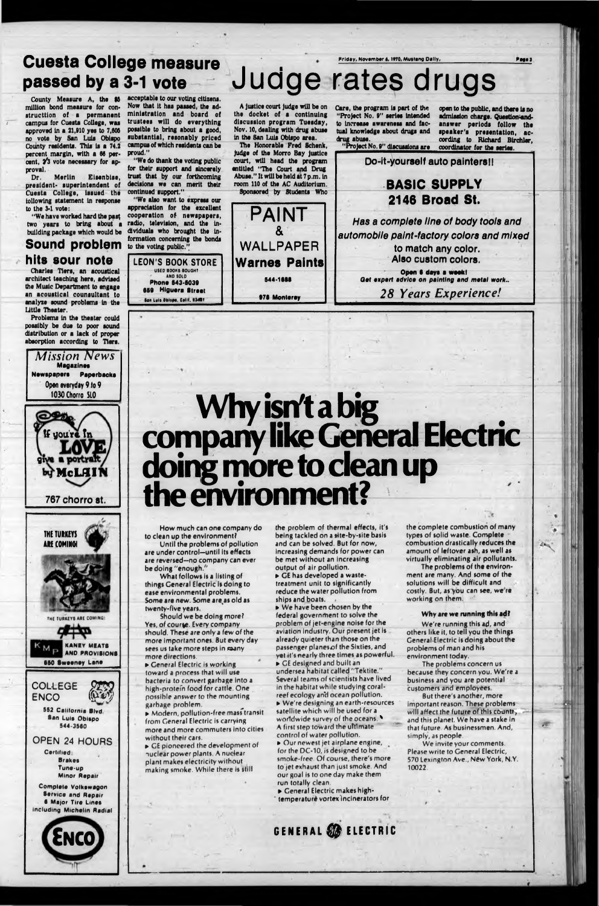### **Friday, Novambar a, 1\*70, Muitang Dally,** Cuesta College measure . . passed by a 3-1 vote Judge rates drugs

County Meaaure A, the \$B million bond measure (or constructtion of a permanent campus (or Cuesta College, was approved in a 21,910 yes to 7,606 no vote by San Luis Obispo County residents. This Is a 74.2 percent margin, with a 66 percent, 2'3 vote necessary for approval.

**Fagal**

Merlin Eisenbise, president- superintendent of Cuesta College, Issued the following statement In response to the 3-1 vote:

*Mission News* **Magazines Newspapers Paperbacks** Open everyday 9 to 9 1030 Chorro SL0 **tf you're Tn** give a porty bu McLHII 767 chorro st. THE TURKEYS **ARE COMING** 

"We have worked hard the past two years to bring about a building package which would be

#### **Sound problem hits sour note**

Charles Hers, an acoustical architect teaching here, advised the Music Department to engage an acoustical counsultant to analyze sound problems In the Little Theater.

Problems in the theater could possibly be due to poor sound distribution or a lack of proper absorption according to Tiers.

The Honorable Fred Schenk, Judge of the Morro Bay Justice court, will head the program entitled "The Court and Drug Abuse." It will be held at 7 p.m. In room 110 of the AC Auditorium. Sponsored by Students Who

![](_page_2_Picture_29.jpeg)

open to the public, and there is no admission charge. Questlon-andanswer periods follow the speaker's presentation, according to Richard Blrchler, coordinator for the series.

*automobile paint-factory colors and mixed* to match any color. Also custom colors.

acceptable to our voting citizens. Now that It has passed, the administration and board of trustees will do everything possible to bring about a good, substantial, resonably priced campus of which residents can be proud."

# **Why isn't a big company like General Electric doing more to dean up the environment?**

"We do thank the voting public for their support and sincerely trust that by our forthcoming decisions we can merit their continued support."

"We also want to express our appreciation for the excellent cooperation of newspapers, radio, television, and the Individuals who brought the Information concerning the bonds to the voting public."

**LEON'S BOOK STORE** USED BOOKS BOUGHT AND S010 **Phone 643-6039 669 Higuora Street Itan Luis Obispe, Calif. 83401** 

> Yes, of course. Every company should. These are only a few of the more important ones. But every day sees us take more steps in many more directions.

A Justice court Judge will be on the docket of a continuing discussion program Tuesday, Nov. 10, dealing with drug abuse In the San Luis Obispo area.

> problem of jet-engine noise for the aviation industry. Our present jet is already quieter than those on the passenger planesof the Sixties, and yet it's nearly three times as powerful.

Care, the program Is part of the "Project No. 9" series intended to Increase awareness and factual knowledge about drugs and drug abuse.

PAINT

& WALLPAPER

> ► Ceneral Electric makes high temperature vortex incinerators for

**Warnes Paints**

**644-1666**

**976 Monterey**

![](_page_2_Picture_15.jpeg)

The problems of the environment are many. And some of the solutions will be difficult and costly. But, as you can see, we re working on them.

**Open 9 days ■ week I Get expert advice on** *painting and matal work.. 28 Years Experience!t*

> We invite your comments. Please write to Ceneral Electric, 570 Lexington Ave., N6w York, N.Y. **10022**.

**GENERAL \$** 

How much can one company do to clean up the environment?

Until the problems of pollution are under control—until its effects are reversed—no company can ever be doing "enough/'

What follows is a listing of things Ceneral Electric is doing to ease environmental problems. Some are new. Some are as old as twenty-five years.

Should we be doing more?

► Ceneral Electric is working toward a process that will use bacteria to convert garbage into a high-protefn food for cattle. One possible answer to the mounting garbage problem.

» Modern, pollution-free masrtransit from Ceneral Electric is carrying more and more commuters into cities without their cars.

► CE pioneered the development of nuclear power plants. A nuclear plant makes electricity without making smoke. While there is still

the problem of thermal effects, it's being tackled on a site-by-site basis and can be solved. But for now, increasing demands for power can be met without an increasing output of air pollution.

» CE has developed a wastetreatment unit to significantly reduce the water pollution from ships and boats. .

► We have been chosen by the federal government to solve the

» CE designed and built an undersea habitat called "Tektite." Several teams of scientists have lived in the habitat while studying coralreef ecology and ocean pollution. ► We're designing an earth-resources

satellite which will be used for a worldwide survey of the oceans. A first step toward the ultimate control of water pollution.

► Our newest jet airplane engine, for the DC-10, is designed to be smoke-free. Of course, there's more to jet exhaust than just smoke. And our goal is to one day make them run totally clean,

the complete combustion of many types of solid waste. Complete combustion drastically reduces the amount of leftover ash, as well as virtually eliminating air pollutants.

 $\Delta \mathbf{r}_\mathrm{q}$  .

**Why are we running this ad?**

We're running this ad, and others like it, to tell you the things Ceneral-Electric is doing about the problems of man and his environment today.

The problems concern us because they concern you. We're a business and you are potential customers and employees

But there's another, more important reason. These problems will affect the future of this country and this planet. We have a stake in that future. As businessmen. And, simply, as people.